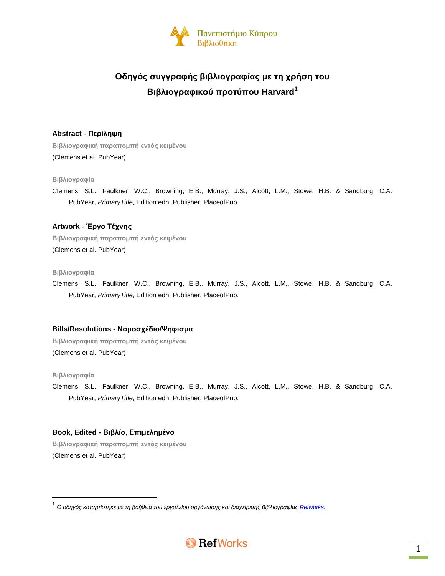

# **Οδηγός συγγραφής βιβλιογραφίας με τη χρήση του Βιβλιογραφικού προτύπου Harvard<sup>1</sup>**

# **Abstract - Περίληψη**

**Βιβλιογραφική παραπομπή εντός κειμένου** (Clemens et al. PubYear)

# **Βιβλιογραφία**

Clemens, S.L., Faulkner, W.C., Browning, E.B., Murray, J.S., Alcott, L.M., Stowe, H.B. & Sandburg, C.A. PubYear, *PrimaryTitle*, Edition edn, Publisher, PlaceofPub.

# **Artwork - Έργο Τέχνης**

**Βιβλιογραφική παραπομπή εντός κειμένου** (Clemens et al. PubYear)

### **Βιβλιογραφία**

Clemens, S.L., Faulkner, W.C., Browning, E.B., Murray, J.S., Alcott, L.M., Stowe, H.B. & Sandburg, C.A. PubYear, *PrimaryTitle*, Edition edn, Publisher, PlaceofPub.

# **Bills/Resolutions - Νομοσχέδιο/Ψήφισμα**

**Βιβλιογραφική παραπομπή εντός κειμένου** (Clemens et al. PubYear)

### **Βιβλιογραφία**

 $\overline{\phantom{a}}$ 

Clemens, S.L., Faulkner, W.C., Browning, E.B., Murray, J.S., Alcott, L.M., Stowe, H.B. & Sandburg, C.A. PubYear, *PrimaryTitle*, Edition edn, Publisher, PlaceofPub.

# **Book, Edited - Βιβλίο, Επιμελημένο**

**Βιβλιογραφική παραπομπή εντός κειμένου** (Clemens et al. PubYear)

<sup>.&</sup>lt;br><sup>1</sup> Ο οδηγός καταρτίστηκε με τη βοήθεια του εργαλείου οργάνωσης και διαχείρισης βιβλιογραφίας <u>Refworks.</u>

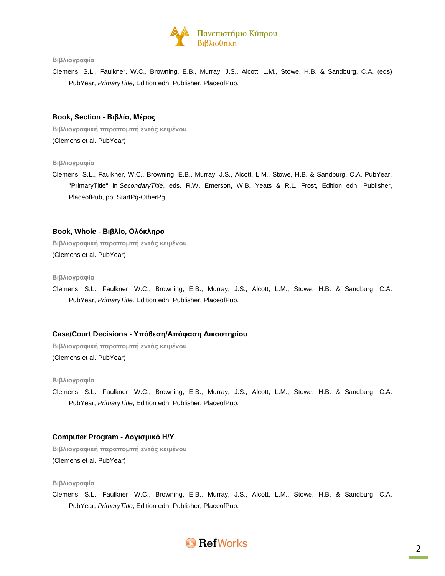

Clemens, S.L., Faulkner, W.C., Browning, E.B., Murray, J.S., Alcott, L.M., Stowe, H.B. & Sandburg, C.A. (eds) PubYear, *PrimaryTitle*, Edition edn, Publisher, PlaceofPub.

# **Book, Section - Βιβλίο, Μέρος**

**Βιβλιογραφική παραπομπή εντός κειμένου** (Clemens et al. PubYear)

#### **Βιβλιογραφία**

Clemens, S.L., Faulkner, W.C., Browning, E.B., Murray, J.S., Alcott, L.M., Stowe, H.B. & Sandburg, C.A. PubYear, "PrimaryTitle" in *SecondaryTitle*, eds. R.W. Emerson, W.B. Yeats & R.L. Frost, Edition edn, Publisher, PlaceofPub, pp. StartPg-OtherPg.

# **Book, Whole - Βιβλίο, Ολόκληρο**

**Βιβλιογραφική παραπομπή εντός κειμένου** (Clemens et al. PubYear)

**Βιβλιογραφία**

Clemens, S.L., Faulkner, W.C., Browning, E.B., Murray, J.S., Alcott, L.M., Stowe, H.B. & Sandburg, C.A. PubYear, *PrimaryTitle,* Edition edn, Publisher, PlaceofPub.

### **Case/Court Decisions - Υπόθεση/Απόφαση Δικαστηρίου**

**Βιβλιογραφική παραπομπή εντός κειμένου** (Clemens et al. PubYear)

#### **Βιβλιογραφία**

Clemens, S.L., Faulkner, W.C., Browning, E.B., Murray, J.S., Alcott, L.M., Stowe, H.B. & Sandburg, C.A. PubYear, *PrimaryTitle*, Edition edn, Publisher, PlaceofPub.

### **Computer Program - Λογισμικό Η/Υ**

**Βιβλιογραφική παραπομπή εντός κειμένου** (Clemens et al. PubYear)

### **Βιβλιογραφία**

Clemens, S.L., Faulkner, W.C., Browning, E.B., Murray, J.S., Alcott, L.M., Stowe, H.B. & Sandburg, C.A. PubYear, *PrimaryTitle*, Edition edn, Publisher, PlaceofPub.

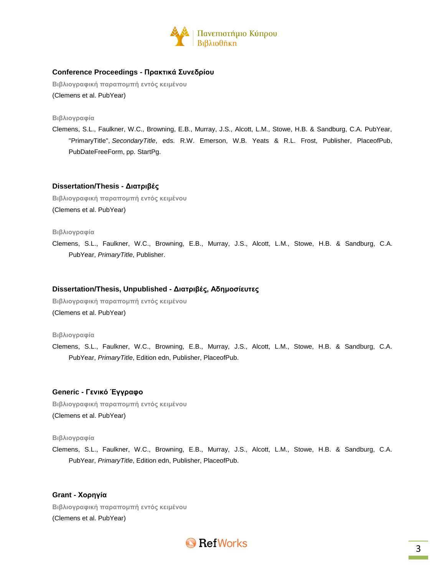

# **Conference Proceedings - Πρακτικά Συνεδρίου**

**Βιβλιογραφική παραπομπή εντός κειμένου** (Clemens et al. PubYear)

**Βιβλιογραφία**

Clemens, S.L., Faulkner, W.C., Browning, E.B., Murray, J.S., Alcott, L.M., Stowe, H.B. & Sandburg, C.A. PubYear, "PrimaryTitle", *SecondaryTitle*, eds. R.W. Emerson, W.B. Yeats & R.L. Frost, Publisher, PlaceofPub, PubDateFreeForm, pp. StartPg.

# **Dissertation/Thesis - Διατριβές**

**Βιβλιογραφική παραπομπή εντός κειμένου** (Clemens et al. PubYear)

**Βιβλιογραφία**

Clemens, S.L., Faulkner, W.C., Browning, E.B., Murray, J.S., Alcott, L.M., Stowe, H.B. & Sandburg, C.A. PubYear, *PrimaryTitle*, Publisher.

# **Dissertation/Thesis, Unpublished - Διατριβές, Αδημοσίευτες**

**Βιβλιογραφική παραπομπή εντός κειμένου** (Clemens et al. PubYear)

**Βιβλιογραφία**

Clemens, S.L., Faulkner, W.C., Browning, E.B., Murray, J.S., Alcott, L.M., Stowe, H.B. & Sandburg, C.A. PubYear, *PrimaryTitle*, Edition edn, Publisher, PlaceofPub.

# **Generic - Γενικό Έγγραφο**

**Βιβλιογραφική παραπομπή εντός κειμένου** (Clemens et al. PubYear)

### **Βιβλιογραφία**

Clemens, S.L., Faulkner, W.C., Browning, E.B., Murray, J.S., Alcott, L.M., Stowe, H.B. & Sandburg, C.A. PubYear, *PrimaryTitle*, Edition edn, Publisher, PlaceofPub.

**Grant - Χορηγία Βιβλιογραφική παραπομπή εντός κειμένου** (Clemens et al. PubYear)

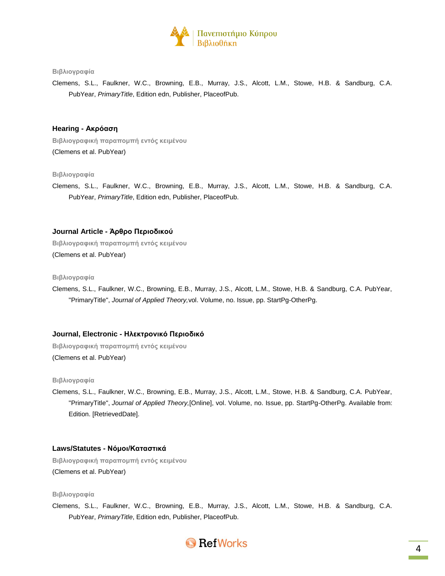

Clemens, S.L., Faulkner, W.C., Browning, E.B., Murray, J.S., Alcott, L.M., Stowe, H.B. & Sandburg, C.A. PubYear, *PrimaryTitle*, Edition edn, Publisher, PlaceofPub.

# **Hearing - Ακρόαση**

**Βιβλιογραφική παραπομπή εντός κειμένου** (Clemens et al. PubYear)

# **Βιβλιογραφία**

Clemens, S.L., Faulkner, W.C., Browning, E.B., Murray, J.S., Alcott, L.M., Stowe, H.B. & Sandburg, C.A. PubYear, *PrimaryTitle*, Edition edn, Publisher, PlaceofPub.

# **Journal Article - Άρθρο Περιοδικού**

**Βιβλιογραφική παραπομπή εντός κειμένου**

(Clemens et al. PubYear)

### **Βιβλιογραφία**

Clemens, S.L., Faulkner, W.C., Browning, E.B., Murray, J.S., Alcott, L.M., Stowe, H.B. & Sandburg, C.A. PubYear, "PrimaryTitle", *Journal of Applied Theory,*vol. Volume, no. Issue, pp. StartPg-OtherPg.

# **Journal, Electronic - Ηλεκτρονικό Περιοδικό**

**Βιβλιογραφική παραπομπή εντός κειμένου** (Clemens et al. PubYear)

### **Βιβλιογραφία**

Clemens, S.L., Faulkner, W.C., Browning, E.B., Murray, J.S., Alcott, L.M., Stowe, H.B. & Sandburg, C.A. PubYear, "PrimaryTitle", *Journal of Applied Theory,*[Online], vol. Volume, no. Issue, pp. StartPg-OtherPg. Available from: Edition. [RetrievedDate].

# **Laws/Statutes - Νόμοι/Καταστικά**

**Βιβλιογραφική παραπομπή εντός κειμένου** (Clemens et al. PubYear)

#### **Βιβλιογραφία**

Clemens, S.L., Faulkner, W.C., Browning, E.B., Murray, J.S., Alcott, L.M., Stowe, H.B. & Sandburg, C.A. PubYear, *PrimaryTitle*, Edition edn, Publisher, PlaceofPub.

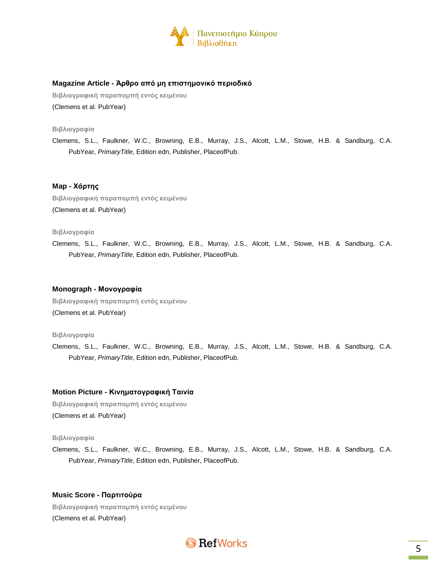

# **Magazine Article - Άρθρο από μη επιστημονικό περιοδικό**

**Βιβλιογραφική παραπομπή εντός κειμένου** (Clemens et al. PubYear)

**Βιβλιογραφία**

Clemens, S.L., Faulkner, W.C., Browning, E.B., Murray, J.S., Alcott, L.M., Stowe, H.B. & Sandburg, C.A. PubYear, *PrimaryTitle*, Edition edn, Publisher, PlaceofPub.

# **Map - Χάρτης**

**Βιβλιογραφική παραπομπή εντός κειμένου** (Clemens et al. PubYear)

#### **Βιβλιογραφία**

Clemens, S.L., Faulkner, W.C., Browning, E.B., Murray, J.S., Alcott, L.M., Stowe, H.B. & Sandburg, C.A. PubYear, *PrimaryTitle*, Edition edn, Publisher, PlaceofPub.

### **Monograph - Μονογραφία**

**Βιβλιογραφική παραπομπή εντός κειμένου** (Clemens et al. PubYear)

#### **Βιβλιογραφία**

Clemens, S.L., Faulkner, W.C., Browning, E.B., Murray, J.S., Alcott, L.M., Stowe, H.B. & Sandburg, C.A. PubYear, *PrimaryTitle*, Edition edn, Publisher, PlaceofPub.

# **Motion Picture - Κινηματογραφική Ταινία**

**Βιβλιογραφική παραπομπή εντός κειμένου** (Clemens et al. PubYear)

### **Βιβλιογραφία**

Clemens, S.L., Faulkner, W.C., Browning, E.B., Murray, J.S., Alcott, L.M., Stowe, H.B. & Sandburg, C.A. PubYear, *PrimaryTitle*, Edition edn, Publisher, PlaceofPub.

### **Music Score - Παρτιτούρα**

**Βιβλιογραφική παραπομπή εντός κειμένου** (Clemens et al. PubYear)

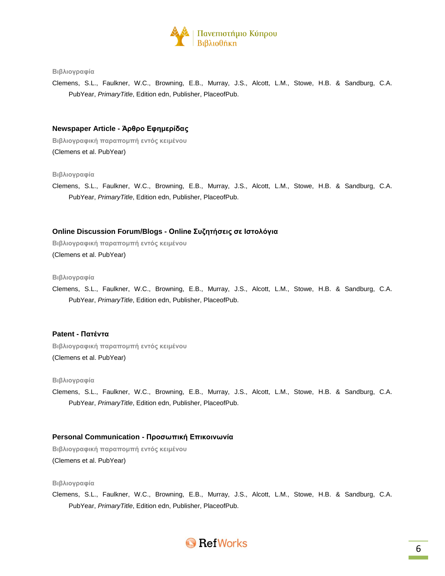

Clemens, S.L., Faulkner, W.C., Browning, E.B., Murray, J.S., Alcott, L.M., Stowe, H.B. & Sandburg, C.A. PubYear, *PrimaryTitle*, Edition edn, Publisher, PlaceofPub.

# **Newspaper Article - Άρθρο Εφημερίδας**

**Βιβλιογραφική παραπομπή εντός κειμένου** (Clemens et al. PubYear)

**Βιβλιογραφία**

Clemens, S.L., Faulkner, W.C., Browning, E.B., Murray, J.S., Alcott, L.M., Stowe, H.B. & Sandburg, C.A. PubYear, *PrimaryTitle*, Edition edn, Publisher, PlaceofPub.

### **Online Discussion Forum/Blogs - Online Συζητήσεις σε Ιστολόγια**

**Βιβλιογραφική παραπομπή εντός κειμένου**

(Clemens et al. PubYear)

**Βιβλιογραφία**

Clemens, S.L., Faulkner, W.C., Browning, E.B., Murray, J.S., Alcott, L.M., Stowe, H.B. & Sandburg, C.A. PubYear, *PrimaryTitle*, Edition edn, Publisher, PlaceofPub.

#### **Patent - Πατέντα**

**Βιβλιογραφική παραπομπή εντός κειμένου** (Clemens et al. PubYear)

#### **Βιβλιογραφία**

Clemens, S.L., Faulkner, W.C., Browning, E.B., Murray, J.S., Alcott, L.M., Stowe, H.B. & Sandburg, C.A. PubYear, *PrimaryTitle*, Edition edn, Publisher, PlaceofPub.

### **Personal Communication - Προσωπική Επικοινωνία**

**Βιβλιογραφική παραπομπή εντός κειμένου** (Clemens et al. PubYear)

### **Βιβλιογραφία**

Clemens, S.L., Faulkner, W.C., Browning, E.B., Murray, J.S., Alcott, L.M., Stowe, H.B. & Sandburg, C.A. PubYear, *PrimaryTitle*, Edition edn, Publisher, PlaceofPub.

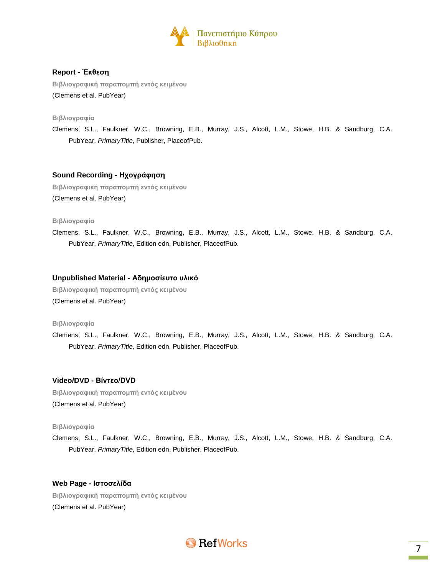

# **Report - Έκθεση**

**Βιβλιογραφική παραπομπή εντός κειμένου** (Clemens et al. PubYear)

**Βιβλιογραφία**

Clemens, S.L., Faulkner, W.C., Browning, E.B., Murray, J.S., Alcott, L.M., Stowe, H.B. & Sandburg, C.A. PubYear, *PrimaryTitle*, Publisher, PlaceofPub.

# **Sound Recording - Ηχογράφηση**

**Βιβλιογραφική παραπομπή εντός κειμένου** (Clemens et al. PubYear)

#### **Βιβλιογραφία**

Clemens, S.L., Faulkner, W.C., Browning, E.B., Murray, J.S., Alcott, L.M., Stowe, H.B. & Sandburg, C.A. PubYear, *PrimaryTitle*, Edition edn, Publisher, PlaceofPub.

### **Unpublished Material - Αδημοσίευτο υλικό**

**Βιβλιογραφική παραπομπή εντός κειμένου** (Clemens et al. PubYear)

**Βιβλιογραφία**

Clemens, S.L., Faulkner, W.C., Browning, E.B., Murray, J.S., Alcott, L.M., Stowe, H.B. & Sandburg, C.A. PubYear, *PrimaryTitle*, Edition edn, Publisher, PlaceofPub.

# **Video/DVD - Βίντεο/DVD**

**Βιβλιογραφική παραπομπή εντός κειμένου** (Clemens et al. PubYear)

### **Βιβλιογραφία**

Clemens, S.L., Faulkner, W.C., Browning, E.B., Murray, J.S., Alcott, L.M., Stowe, H.B. & Sandburg, C.A. PubYear, *PrimaryTitle*, Edition edn, Publisher, PlaceofPub.

# **Web Page - Ιστοσελίδα**

**Βιβλιογραφική παραπομπή εντός κειμένου** (Clemens et al. PubYear)